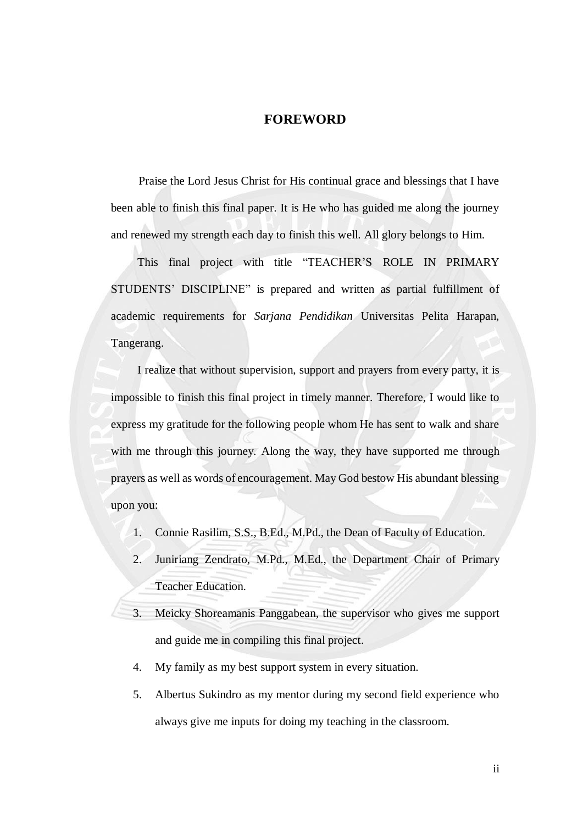## **FOREWORD**

<span id="page-0-0"></span>Praise the Lord Jesus Christ for His continual grace and blessings that I have been able to finish this final paper. It is He who has guided me along the journey and renewed my strength each day to finish this well. All glory belongs to Him.

This final project with title "TEACHER'S ROLE IN PRIMARY STUDENTS' DISCIPLINE" is prepared and written as partial fulfillment of academic requirements for *Sarjana Pendidikan* Universitas Pelita Harapan, Tangerang.

I realize that without supervision, support and prayers from every party, it is impossible to finish this final project in timely manner. Therefore, I would like to express my gratitude for the following people whom He has sent to walk and share with me through this journey. Along the way, they have supported me through prayers as well as words of encouragement. May God bestow His abundant blessing upon you:

- 1. Connie Rasilim, S.S., B.Ed., M.Pd., the Dean of Faculty of Education.
- 2. Juniriang Zendrato, M.Pd., M.Ed., the Department Chair of Primary Teacher Education.
- 3. Meicky Shoreamanis Panggabean, the supervisor who gives me support and guide me in compiling this final project.
- 4. My family as my best support system in every situation.
- 5. Albertus Sukindro as my mentor during my second field experience who always give me inputs for doing my teaching in the classroom.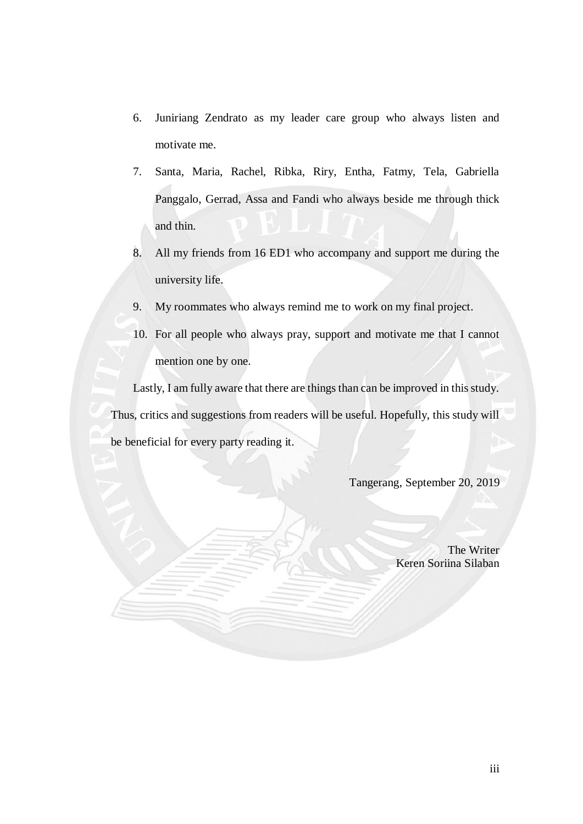- 6. Juniriang Zendrato as my leader care group who always listen and motivate me.
- 7. Santa, Maria, Rachel, Ribka, Riry, Entha, Fatmy, Tela, Gabriella Panggalo, Gerrad, Assa and Fandi who always beside me through thick and thin.
- 8. All my friends from 16 ED1 who accompany and support me during the university life.
- 9. My roommates who always remind me to work on my final project.
- 10. For all people who always pray, support and motivate me that I cannot mention one by one.

Lastly, I am fully aware that there are things than can be improved in this study. Thus, critics and suggestions from readers will be useful. Hopefully, this study will be beneficial for every party reading it.

Tangerang, September 20, 2019

The Writer Keren Soriina Silaban